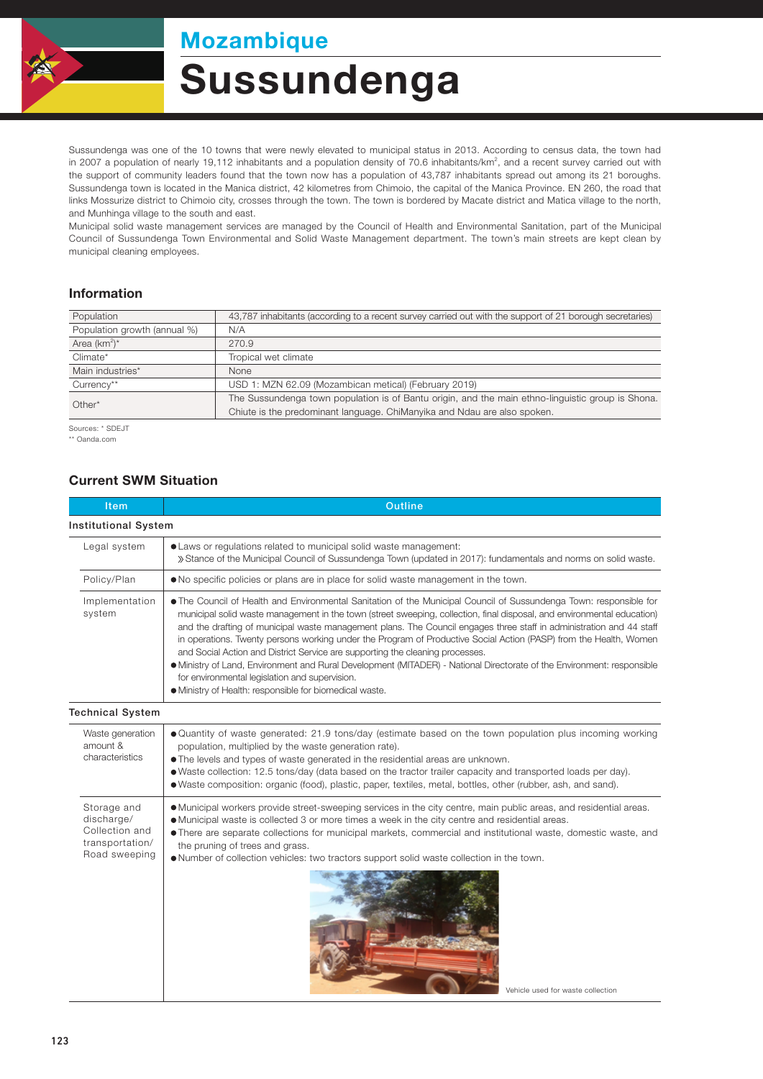

## Mozambique

# Sussundenga

Sussundenga was one of the 10 towns that were newly elevated to municipal status in 2013. According to census data, the town had in 2007 a population of nearly 19,112 inhabitants and a population density of 70.6 inhabitants/km<sup>2</sup>, and a recent survey carried out with the support of community leaders found that the town now has a population of 43,787 inhabitants spread out among its 21 boroughs. Sussundenga town is located in the Manica district, 42 kilometres from Chimoio, the capital of the Manica Province. EN 260, the road that links Mossurize district to Chimoio city, crosses through the town. The town is bordered by Macate district and Matica village to the north, and Munhinga village to the south and east.

Municipal solid waste management services are managed by the Council of Health and Environmental Sanitation, part of the Municipal Council of Sussundenga Town Environmental and Solid Waste Management department. The town's main streets are kept clean by municipal cleaning employees.

#### Information

| Population                   | 43,787 inhabitants (according to a recent survey carried out with the support of 21 borough secretaries) |  |  |
|------------------------------|----------------------------------------------------------------------------------------------------------|--|--|
| Population growth (annual %) | N/A                                                                                                      |  |  |
| Area $(km^2)^*$              | 270.9                                                                                                    |  |  |
| Climate*                     | Tropical wet climate                                                                                     |  |  |
| Main industries*             | <b>None</b>                                                                                              |  |  |
| Currency**                   | USD 1: MZN 62.09 (Mozambican metical) (February 2019)                                                    |  |  |
| $Other*$                     | The Sussundenga town population is of Bantu origin, and the main ethno-linguistic group is Shona.        |  |  |
|                              | Chiute is the predominant language. ChiManyika and Ndau are also spoken.                                 |  |  |

Sources: \* SDEJT

\*\* Oanda.com

#### Current SWM Situation

| Item                                                                            | Outline                                                                                                                                                                                                                                                                                                                                                                                                                                                                                                                                                                                                                                                                                                                                                                                                            |  |  |  |
|---------------------------------------------------------------------------------|--------------------------------------------------------------------------------------------------------------------------------------------------------------------------------------------------------------------------------------------------------------------------------------------------------------------------------------------------------------------------------------------------------------------------------------------------------------------------------------------------------------------------------------------------------------------------------------------------------------------------------------------------------------------------------------------------------------------------------------------------------------------------------------------------------------------|--|--|--|
| <b>Institutional System</b>                                                     |                                                                                                                                                                                                                                                                                                                                                                                                                                                                                                                                                                                                                                                                                                                                                                                                                    |  |  |  |
| Legal system                                                                    | • Laws or regulations related to municipal solid waste management:<br>» Stance of the Municipal Council of Sussundenga Town (updated in 2017): fundamentals and norms on solid waste.                                                                                                                                                                                                                                                                                                                                                                                                                                                                                                                                                                                                                              |  |  |  |
| Policy/Plan                                                                     | • No specific policies or plans are in place for solid waste management in the town.                                                                                                                                                                                                                                                                                                                                                                                                                                                                                                                                                                                                                                                                                                                               |  |  |  |
| Implementation<br>system                                                        | • The Council of Health and Environmental Sanitation of the Municipal Council of Sussundenga Town: responsible for<br>municipal solid waste management in the town (street sweeping, collection, final disposal, and environmental education)<br>and the drafting of municipal waste management plans. The Council engages three staff in administration and 44 staff<br>in operations. Twenty persons working under the Program of Productive Social Action (PASP) from the Health, Women<br>and Social Action and District Service are supporting the cleaning processes.<br>• Ministry of Land, Environment and Rural Development (MITADER) - National Directorate of the Environment: responsible<br>for environmental legislation and supervision.<br>• Ministry of Health: responsible for biomedical waste. |  |  |  |
| <b>Technical System</b>                                                         |                                                                                                                                                                                                                                                                                                                                                                                                                                                                                                                                                                                                                                                                                                                                                                                                                    |  |  |  |
| Waste generation<br>amount &<br>characteristics                                 | • Quantity of waste generated: 21.9 tons/day (estimate based on the town population plus incoming working<br>population, multiplied by the waste generation rate).<br>• The levels and types of waste generated in the residential areas are unknown.<br>• Waste collection: 12.5 tons/day (data based on the tractor trailer capacity and transported loads per day).<br>• Waste composition: organic (food), plastic, paper, textiles, metal, bottles, other (rubber, ash, and sand).                                                                                                                                                                                                                                                                                                                            |  |  |  |
| Storage and<br>discharge/<br>Collection and<br>transportation/<br>Road sweeping | • Municipal workers provide street-sweeping services in the city centre, main public areas, and residential areas.<br>• Municipal waste is collected 3 or more times a week in the city centre and residential areas.<br>• There are separate collections for municipal markets, commercial and institutional waste, domestic waste, and<br>the pruning of trees and grass.<br>. Number of collection vehicles: two tractors support solid waste collection in the town.<br>Vehicle used for waste collection                                                                                                                                                                                                                                                                                                      |  |  |  |